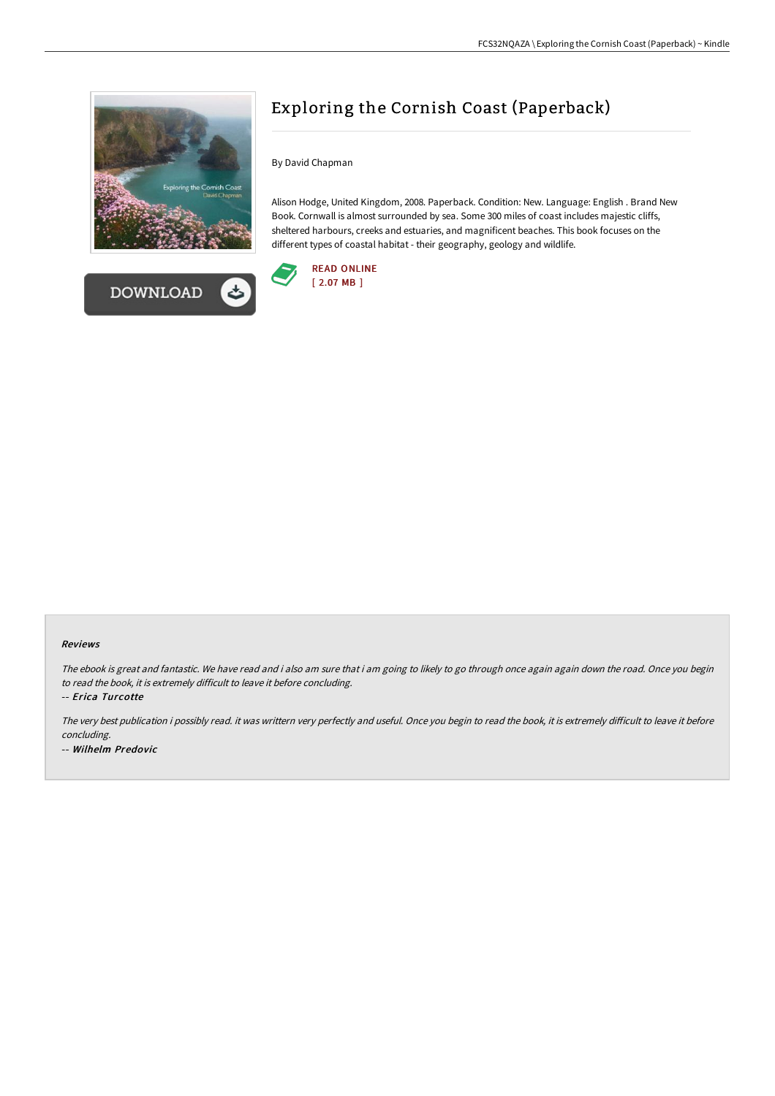



# Exploring the Cornish Coast (Paperback)

By David Chapman

Alison Hodge, United Kingdom, 2008. Paperback. Condition: New. Language: English . Brand New Book. Cornwall is almost surrounded by sea. Some 300 miles of coast includes majestic cliffs, sheltered harbours, creeks and estuaries, and magnificent beaches. This book focuses on the different types of coastal habitat - their geography, geology and wildlife.



### Reviews

The ebook is great and fantastic. We have read and i also am sure that i am going to likely to go through once again again down the road. Once you begin to read the book, it is extremely difficult to leave it before concluding.

-- Erica Turcotte

The very best publication i possibly read. it was writtern very perfectly and useful. Once you begin to read the book, it is extremely difficult to leave it before concluding. -- Wilhelm Predovic